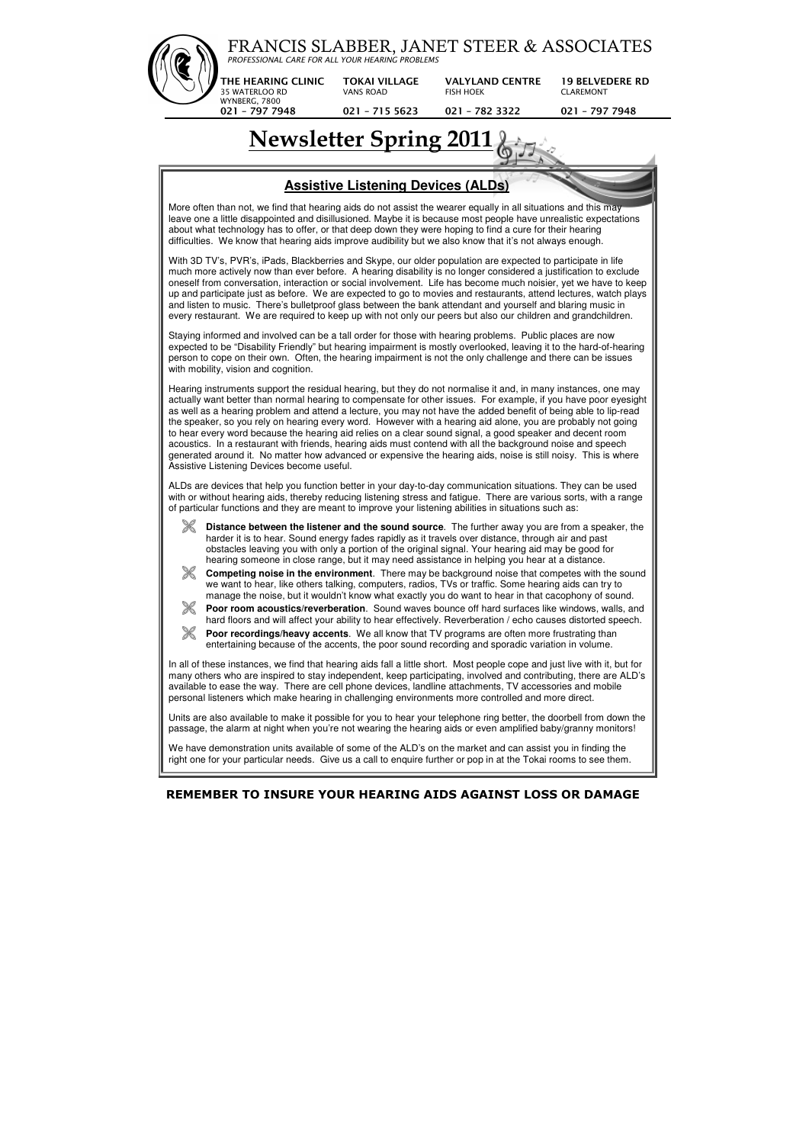



right one for your particular needs. Give us a call to enquire further or pop in at the Tokai rooms to see them.

## **REMEMBER TO INSURE YOUR HEARING AIDS AGAINST LOSS OR DAMAGE**